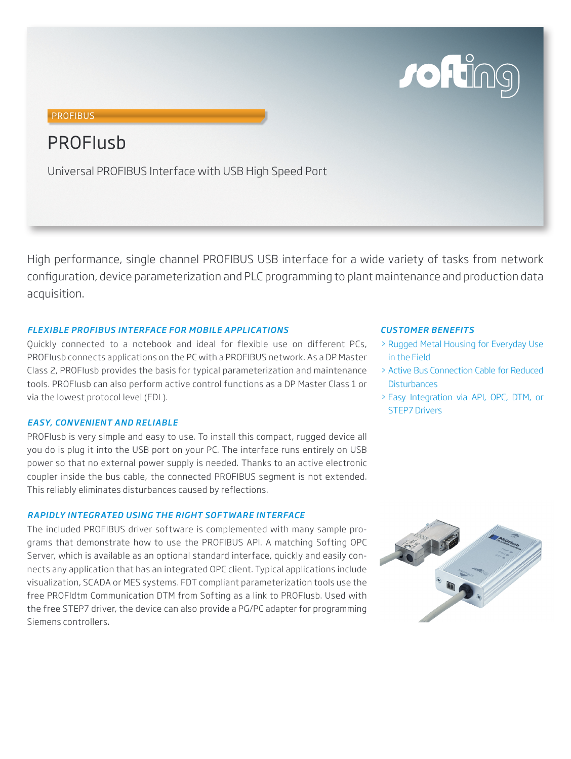

# **PROFIBUS**

# **PROFILISH**

Universal PROFIBUS Interface with USB High Speed Port

High performance, single channel PROFIBUS USB interface for a wide variety of tasks from network configuration, device parameterization and PLC programming to plant maintenance and production data acquisition.

## *FLEXIBLE PROFIBUS INTERFACE FOR MOBILE APPLICATIONS*

Quickly connected to a notebook and ideal for flexible use on different PCs, PROFIusb connects applications on the PC with a PROFIBUS network. As a DP Master Class 2, PROFIusb provides the basis for typical parameterization and maintenance tools. PROFIusb can also perform active control functions as a DP Master Class 1 or via the lowest protocol level (FDL).

## *EASY, CONVENIENT AND RELIABLE*

PROFIusb is very simple and easy to use. To install this compact, rugged device all you do is plug it into the USB port on your PC. The interface runs entirely on USB power so that no external power supply is needed. Thanks to an active electronic coupler inside the bus cable, the connected PROFIBUS segment is not extended. This reliably eliminates disturbances caused by reflections.

# *RAPIDLY INTEGRATED USING THE RIGHT SOFTWARE INTERFACE*

The included PROFIBUS driver software is complemented with many sample programs that demonstrate how to use the PROFIBUS API. A matching Softing OPC Server, which is available as an optional standard interface, quickly and easily connects any application that has an integrated OPC client. Typical applications include visualization, SCADA or MES systems. FDT compliant parameterization tools use the free PROFIdtm Communication DTM from Softing as a link to PROFIusb. Used with the free STEP7 driver, the device can also provide a PG/PC adapter for programming Siemens controllers.

#### *CUSTOMER BENEFITS*

- > Rugged Metal Housing for Everyday Use in the Field
- > Active Bus Connection Cable for Reduced **Disturbances**
- > Easy Integration via API, OPC, DTM, or STEP7 Drivers